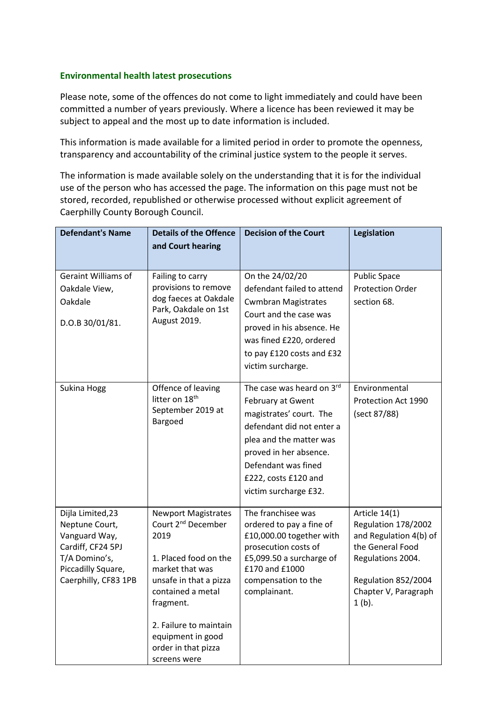## **Environmental health latest prosecutions**

Please note, some of the offences do not come to light immediately and could have been committed a number of years previously. Where a licence has been reviewed it may be subject to appeal and the most up to date information is included.

This information is made available for a limited period in order to promote the openness, transparency and accountability of the criminal justice system to the people it serves.

The information is made available solely on the understanding that it is for the individual use of the person who has accessed the page. The information on this page must not be stored, recorded, republished or otherwise processed without explicit agreement of Caerphilly County Borough Council.

| <b>Defendant's Name</b>                                                                                                                  | <b>Details of the Offence</b><br>and Court hearing                                                                                                                                                                                                                 | <b>Decision of the Court</b>                                                                                                                                                                                                        | <b>Legislation</b>                                                                                                                                                 |
|------------------------------------------------------------------------------------------------------------------------------------------|--------------------------------------------------------------------------------------------------------------------------------------------------------------------------------------------------------------------------------------------------------------------|-------------------------------------------------------------------------------------------------------------------------------------------------------------------------------------------------------------------------------------|--------------------------------------------------------------------------------------------------------------------------------------------------------------------|
| <b>Geraint Williams of</b><br>Oakdale View,<br>Oakdale<br>D.O.B 30/01/81.                                                                | Failing to carry<br>provisions to remove<br>dog faeces at Oakdale<br>Park, Oakdale on 1st<br>August 2019.                                                                                                                                                          | On the 24/02/20<br>defendant failed to attend<br><b>Cwmbran Magistrates</b><br>Court and the case was<br>proved in his absence. He<br>was fined £220, ordered<br>to pay £120 costs and £32<br>victim surcharge.                     | <b>Public Space</b><br><b>Protection Order</b><br>section 68.                                                                                                      |
| Sukina Hogg                                                                                                                              | Offence of leaving<br>litter on 18 <sup>th</sup><br>September 2019 at<br>Bargoed                                                                                                                                                                                   | The case was heard on 3rd<br>February at Gwent<br>magistrates' court. The<br>defendant did not enter a<br>plea and the matter was<br>proved in her absence.<br>Defendant was fined<br>£222, costs £120 and<br>victim surcharge £32. | Environmental<br>Protection Act 1990<br>(sect 87/88)                                                                                                               |
| Dijla Limited, 23<br>Neptune Court,<br>Vanguard Way,<br>Cardiff, CF24 5PJ<br>T/A Domino's,<br>Piccadilly Square,<br>Caerphilly, CF83 1PB | <b>Newport Magistrates</b><br>Court 2 <sup>nd</sup> December<br>2019<br>1. Placed food on the<br>market that was<br>unsafe in that a pizza<br>contained a metal<br>fragment.<br>2. Failure to maintain<br>equipment in good<br>order in that pizza<br>screens were | The franchisee was<br>ordered to pay a fine of<br>£10,000.00 together with<br>prosecution costs of<br>£5,099.50 a surcharge of<br>£170 and £1000<br>compensation to the<br>complainant.                                             | Article 14(1)<br>Regulation 178/2002<br>and Regulation 4(b) of<br>the General Food<br>Regulations 2004.<br>Regulation 852/2004<br>Chapter V, Paragraph<br>$1(b)$ . |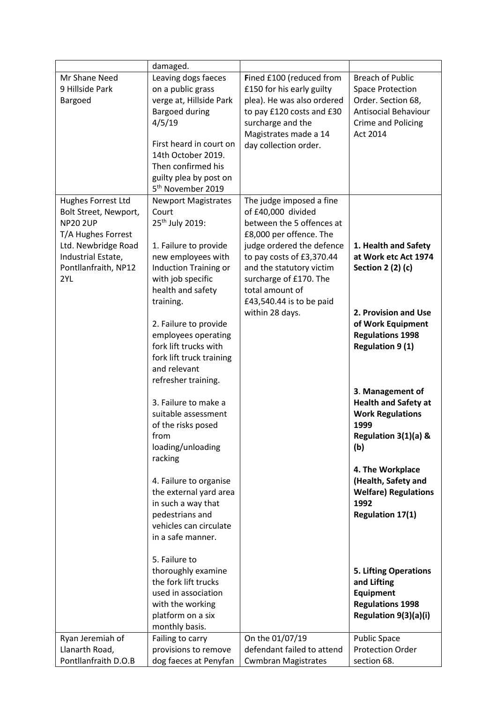|                                                                                                                                                                  | damaged.                                                                                                                                                                                                                                                                                                                                                                                                                                                                                                                                    |                                                                                                                                                                                                                                                                                          |                                                                                                                                                                                                                                                                                                                                                                                    |
|------------------------------------------------------------------------------------------------------------------------------------------------------------------|---------------------------------------------------------------------------------------------------------------------------------------------------------------------------------------------------------------------------------------------------------------------------------------------------------------------------------------------------------------------------------------------------------------------------------------------------------------------------------------------------------------------------------------------|------------------------------------------------------------------------------------------------------------------------------------------------------------------------------------------------------------------------------------------------------------------------------------------|------------------------------------------------------------------------------------------------------------------------------------------------------------------------------------------------------------------------------------------------------------------------------------------------------------------------------------------------------------------------------------|
| Mr Shane Need<br>9 Hillside Park<br>Bargoed                                                                                                                      | Leaving dogs faeces<br>on a public grass<br>verge at, Hillside Park<br><b>Bargoed during</b><br>4/5/19<br>First heard in court on<br>14th October 2019.<br>Then confirmed his<br>guilty plea by post on<br>5 <sup>th</sup> November 2019                                                                                                                                                                                                                                                                                                    | Fined £100 (reduced from<br>£150 for his early guilty<br>plea). He was also ordered<br>to pay £120 costs and £30<br>surcharge and the<br>Magistrates made a 14<br>day collection order.                                                                                                  | <b>Breach of Public</b><br><b>Space Protection</b><br>Order. Section 68,<br><b>Antisocial Behaviour</b><br><b>Crime and Policing</b><br>Act 2014                                                                                                                                                                                                                                   |
| Hughes Forrest Ltd<br>Bolt Street, Newport,<br><b>NP20 2UP</b><br>T/A Hughes Forrest<br>Ltd. Newbridge Road<br>Industrial Estate,<br>Pontllanfraith, NP12<br>2YL | <b>Newport Magistrates</b><br>Court<br>25 <sup>th</sup> July 2019:<br>1. Failure to provide<br>new employees with<br><b>Induction Training or</b><br>with job specific<br>health and safety<br>training.<br>2. Failure to provide<br>employees operating<br>fork lift trucks with<br>fork lift truck training<br>and relevant<br>refresher training.<br>3. Failure to make a<br>suitable assessment<br>of the risks posed<br>from<br>loading/unloading<br>racking<br>4. Failure to organise<br>the external yard area<br>in such a way that | The judge imposed a fine<br>of £40,000 divided<br>between the 5 offences at<br>£8,000 per offence. The<br>judge ordered the defence<br>to pay costs of £3,370.44<br>and the statutory victim<br>surcharge of £170. The<br>total amount of<br>£43,540.44 is to be paid<br>within 28 days. | 1. Health and Safety<br>at Work etc Act 1974<br><b>Section 2 (2) (c)</b><br>2. Provision and Use<br>of Work Equipment<br><b>Regulations 1998</b><br><b>Regulation 9 (1)</b><br>3. Management of<br><b>Health and Safety at</b><br><b>Work Regulations</b><br>1999<br>Regulation 3(1)(a) &<br>(b)<br>4. The Workplace<br>(Health, Safety and<br><b>Welfare) Regulations</b><br>1992 |
| Ryan Jeremiah of<br>Llanarth Road,                                                                                                                               | pedestrians and<br>vehicles can circulate<br>in a safe manner.<br>5. Failure to<br>thoroughly examine<br>the fork lift trucks<br>used in association<br>with the working<br>platform on a six<br>monthly basis.<br>Failing to carry<br>provisions to remove                                                                                                                                                                                                                                                                                 | On the 01/07/19<br>defendant failed to attend                                                                                                                                                                                                                                            | <b>Regulation 17(1)</b><br><b>5. Lifting Operations</b><br>and Lifting<br><b>Equipment</b><br><b>Regulations 1998</b><br>Regulation 9(3)(a)(i)<br><b>Public Space</b><br><b>Protection Order</b>                                                                                                                                                                                   |
| Pontllanfraith D.O.B                                                                                                                                             | dog faeces at Penyfan                                                                                                                                                                                                                                                                                                                                                                                                                                                                                                                       | <b>Cwmbran Magistrates</b>                                                                                                                                                                                                                                                               | section 68.                                                                                                                                                                                                                                                                                                                                                                        |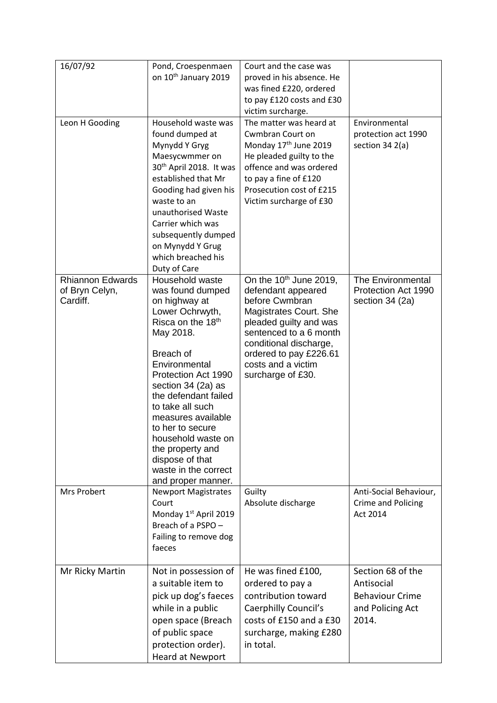| 16/07/92                                              | Pond, Croespenmaen<br>on 10 <sup>th</sup> January 2019                                                                                                                                                                                                                                                                                                                                | Court and the case was<br>proved in his absence. He<br>was fined £220, ordered<br>to pay £120 costs and £30<br>victim surcharge.                                                                                                                 |                                                                                        |
|-------------------------------------------------------|---------------------------------------------------------------------------------------------------------------------------------------------------------------------------------------------------------------------------------------------------------------------------------------------------------------------------------------------------------------------------------------|--------------------------------------------------------------------------------------------------------------------------------------------------------------------------------------------------------------------------------------------------|----------------------------------------------------------------------------------------|
| Leon H Gooding                                        | Household waste was<br>found dumped at<br>Mynydd Y Gryg<br>Maesycwmmer on<br>30 <sup>th</sup> April 2018. It was<br>established that Mr<br>Gooding had given his<br>waste to an<br>unauthorised Waste<br>Carrier which was<br>subsequently dumped<br>on Mynydd Y Grug<br>which breached his<br>Duty of Care                                                                           | The matter was heard at<br>Cwmbran Court on<br>Monday 17 <sup>th</sup> June 2019<br>He pleaded guilty to the<br>offence and was ordered<br>to pay a fine of £120<br>Prosecution cost of £215<br>Victim surcharge of £30                          | Environmental<br>protection act 1990<br>section 34 2(a)                                |
| <b>Rhiannon Edwards</b><br>of Bryn Celyn,<br>Cardiff. | Household waste<br>was found dumped<br>on highway at<br>Lower Ochrwyth,<br>Risca on the 18th<br>May 2018.<br>Breach of<br>Environmental<br>Protection Act 1990<br>section 34 (2a) as<br>the defendant failed<br>to take all such<br>measures available<br>to her to secure<br>household waste on<br>the property and<br>dispose of that<br>waste in the correct<br>and proper manner. | On the $10^{th}$ June 2019,<br>defendant appeared<br>before Cwmbran<br>Magistrates Court. She<br>pleaded guilty and was<br>sentenced to a 6 month<br>conditional discharge,<br>ordered to pay £226.61<br>costs and a victim<br>surcharge of £30. | The Environmental<br>Protection Act 1990<br>section 34 (2a)                            |
| <b>Mrs Probert</b>                                    | <b>Newport Magistrates</b><br>Court<br>Monday 1st April 2019<br>Breach of a PSPO -<br>Failing to remove dog<br>faeces                                                                                                                                                                                                                                                                 | Guilty<br>Absolute discharge                                                                                                                                                                                                                     | Anti-Social Behaviour,<br>Crime and Policing<br>Act 2014                               |
| Mr Ricky Martin                                       | Not in possession of<br>a suitable item to<br>pick up dog's faeces<br>while in a public<br>open space (Breach<br>of public space<br>protection order).<br>Heard at Newport                                                                                                                                                                                                            | He was fined £100,<br>ordered to pay a<br>contribution toward<br>Caerphilly Council's<br>costs of £150 and a £30<br>surcharge, making £280<br>in total.                                                                                          | Section 68 of the<br>Antisocial<br><b>Behaviour Crime</b><br>and Policing Act<br>2014. |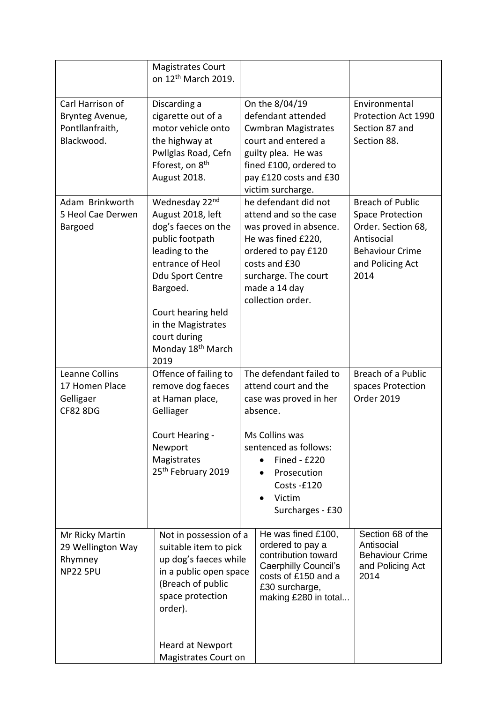|                                                                      | <b>Magistrates Court</b><br>on 12 <sup>th</sup> March 2019.                                                                                                                                                                                              |                                                                                                                                                                                                          |                                                                                                                                              |
|----------------------------------------------------------------------|----------------------------------------------------------------------------------------------------------------------------------------------------------------------------------------------------------------------------------------------------------|----------------------------------------------------------------------------------------------------------------------------------------------------------------------------------------------------------|----------------------------------------------------------------------------------------------------------------------------------------------|
| Carl Harrison of<br>Brynteg Avenue,<br>Pontllanfraith,<br>Blackwood. | Discarding a<br>cigarette out of a<br>motor vehicle onto<br>the highway at<br>Pwllglas Road, Cefn<br>Fforest, on 8 <sup>th</sup><br>August 2018.                                                                                                         | On the 8/04/19<br>defendant attended<br><b>Cwmbran Magistrates</b><br>court and entered a<br>guilty plea. He was<br>fined £100, ordered to<br>pay £120 costs and £30<br>victim surcharge.                | Environmental<br>Protection Act 1990<br>Section 87 and<br>Section 88.                                                                        |
| Adam Brinkworth<br>5 Heol Cae Derwen<br>Bargoed                      | Wednesday 22nd<br>August 2018, left<br>dog's faeces on the<br>public footpath<br>leading to the<br>entrance of Heol<br>Ddu Sport Centre<br>Bargoed.<br>Court hearing held<br>in the Magistrates<br>court during<br>Monday 18 <sup>th</sup> March<br>2019 | he defendant did not<br>attend and so the case<br>was proved in absence.<br>He was fined £220,<br>ordered to pay £120<br>costs and £30<br>surcharge. The court<br>made a 14 day<br>collection order.     | <b>Breach of Public</b><br><b>Space Protection</b><br>Order. Section 68,<br>Antisocial<br><b>Behaviour Crime</b><br>and Policing Act<br>2014 |
| Leanne Collins<br>17 Homen Place<br>Gelligaer<br><b>CF82 8DG</b>     | Offence of failing to<br>remove dog faeces<br>at Haman place,<br>Gelliager<br>Court Hearing -<br>Newport<br>Magistrates<br>25 <sup>th</sup> February 2019                                                                                                | The defendant failed to<br>attend court and the<br>case was proved in her<br>absence.<br>Ms Collins was<br>sentenced as follows:<br><b>Fined - £220</b><br>Prosecution<br>Costs-£120                     | <b>Breach of a Public</b><br>spaces Protection<br><b>Order 2019</b>                                                                          |
| Mr Ricky Martin<br>29 Wellington Way<br>Rhymney<br><b>NP22 5PU</b>   | Not in possession of a<br>suitable item to pick<br>up dog's faeces while<br>in a public open space<br>(Breach of public<br>space protection<br>order).                                                                                                   | Victim<br>$\bullet$<br>Surcharges - £30<br>He was fined £100,<br>ordered to pay a<br>contribution toward<br><b>Caerphilly Council's</b><br>costs of £150 and a<br>£30 surcharge,<br>making £280 in total | Section 68 of the<br>Antisocial<br><b>Behaviour Crime</b><br>and Policing Act<br>2014                                                        |
|                                                                      | Heard at Newport<br>Magistrates Court on                                                                                                                                                                                                                 |                                                                                                                                                                                                          |                                                                                                                                              |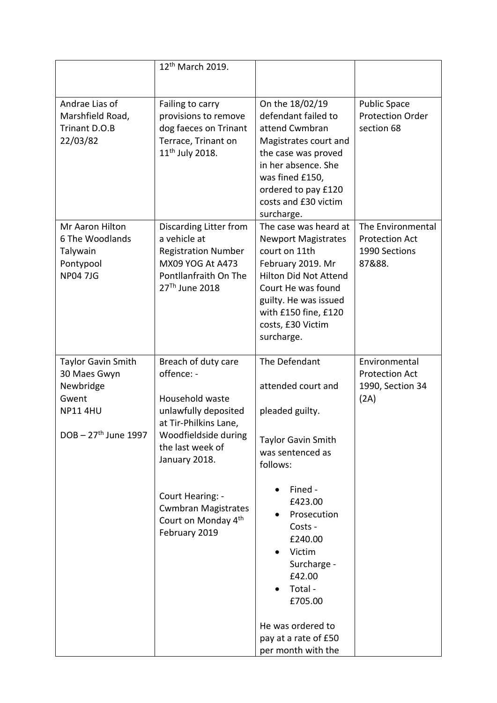|                                                                                                              | 12 <sup>th</sup> March 2019.                                                                                                                                                                                                                                             |                                                                                                                                                                                                                                                              |                                                                       |
|--------------------------------------------------------------------------------------------------------------|--------------------------------------------------------------------------------------------------------------------------------------------------------------------------------------------------------------------------------------------------------------------------|--------------------------------------------------------------------------------------------------------------------------------------------------------------------------------------------------------------------------------------------------------------|-----------------------------------------------------------------------|
| Andrae Lias of<br>Marshfield Road,<br>Trinant D.O.B<br>22/03/82                                              | Failing to carry<br>provisions to remove<br>dog faeces on Trinant<br>Terrace, Trinant on<br>$11^{th}$ July 2018.                                                                                                                                                         | On the 18/02/19<br>defendant failed to<br>attend Cwmbran<br>Magistrates court and<br>the case was proved<br>in her absence. She<br>was fined £150,<br>ordered to pay £120<br>costs and £30 victim<br>surcharge.                                              | <b>Public Space</b><br><b>Protection Order</b><br>section 68          |
| Mr Aaron Hilton<br>6 The Woodlands<br>Talywain<br>Pontypool<br><b>NP04 7JG</b>                               | Discarding Litter from<br>a vehicle at<br><b>Registration Number</b><br>MX09 YOG At A473<br>Pontllanfraith On The<br>27 <sup>Th</sup> June 2018                                                                                                                          | The case was heard at<br><b>Newport Magistrates</b><br>court on 11th<br>February 2019. Mr<br><b>Hilton Did Not Attend</b><br>Court He was found<br>guilty. He was issued<br>with £150 fine, £120<br>costs, £30 Victim<br>surcharge.                          | The Environmental<br><b>Protection Act</b><br>1990 Sections<br>87&88. |
| <b>Taylor Gavin Smith</b><br>30 Maes Gwyn<br>Newbridge<br>Gwent<br><b>NP11 4HU</b><br>$DOB - 27th$ June 1997 | Breach of duty care<br>offence: -<br>Household waste<br>unlawfully deposited<br>at Tir-Philkins Lane,<br>Woodfieldside during<br>the last week of<br>January 2018.<br>Court Hearing: -<br><b>Cwmbran Magistrates</b><br>Court on Monday 4 <sup>th</sup><br>February 2019 | The Defendant<br>attended court and<br>pleaded guilty.<br><b>Taylor Gavin Smith</b><br>was sentenced as<br>follows:<br>Fined -<br>£423.00<br>Prosecution<br>Costs -<br>£240.00<br>Victim<br>Surcharge -<br>£42.00<br>Total -<br>£705.00<br>He was ordered to | Environmental<br><b>Protection Act</b><br>1990, Section 34<br>(2A)    |
|                                                                                                              |                                                                                                                                                                                                                                                                          | pay at a rate of £50<br>per month with the                                                                                                                                                                                                                   |                                                                       |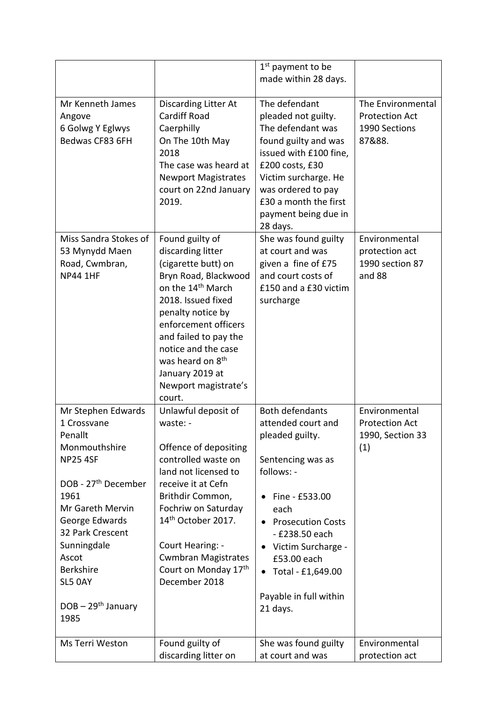|                                                                                                                                                                                                                                                                              |                                                                                                                                                                                                                                                                                                                              | 1 <sup>st</sup> payment to be<br>made within 28 days.                                                                                                                                                                                                                                   |                                                                       |
|------------------------------------------------------------------------------------------------------------------------------------------------------------------------------------------------------------------------------------------------------------------------------|------------------------------------------------------------------------------------------------------------------------------------------------------------------------------------------------------------------------------------------------------------------------------------------------------------------------------|-----------------------------------------------------------------------------------------------------------------------------------------------------------------------------------------------------------------------------------------------------------------------------------------|-----------------------------------------------------------------------|
| Mr Kenneth James<br>Angove<br>6 Golwg Y Eglwys<br>Bedwas CF83 6FH                                                                                                                                                                                                            | Discarding Litter At<br><b>Cardiff Road</b><br>Caerphilly<br>On The 10th May<br>2018<br>The case was heard at<br><b>Newport Magistrates</b><br>court on 22nd January<br>2019.                                                                                                                                                | The defendant<br>pleaded not guilty.<br>The defendant was<br>found guilty and was<br>issued with £100 fine,<br>£200 costs, £30<br>Victim surcharge. He<br>was ordered to pay<br>£30 a month the first<br>payment being due in<br>28 days.                                               | The Environmental<br><b>Protection Act</b><br>1990 Sections<br>87&88. |
| Miss Sandra Stokes of<br>53 Mynydd Maen<br>Road, Cwmbran,<br><b>NP44 1HF</b>                                                                                                                                                                                                 | Found guilty of<br>discarding litter<br>(cigarette butt) on<br>Bryn Road, Blackwood<br>on the 14 <sup>th</sup> March<br>2018. Issued fixed<br>penalty notice by<br>enforcement officers<br>and failed to pay the<br>notice and the case<br>was heard on 8 <sup>th</sup><br>January 2019 at<br>Newport magistrate's<br>court. | She was found guilty<br>at court and was<br>given a fine of £75<br>and court costs of<br>£150 and a £30 victim<br>surcharge                                                                                                                                                             | Environmental<br>protection act<br>1990 section 87<br>and 88          |
| Mr Stephen Edwards<br>1 Crossvane<br>Penallt<br>Monmouthshire<br><b>NP25 4SF</b><br>DOB - 27 <sup>th</sup> December<br>1961<br>Mr Gareth Mervin<br>George Edwards<br>32 Park Crescent<br>Sunningdale<br>Ascot<br><b>Berkshire</b><br>SL5 OAY<br>$DOB - 29th January$<br>1985 | Unlawful deposit of<br>waste: -<br>Offence of depositing<br>controlled waste on<br>land not licensed to<br>receive it at Cefn<br>Brithdir Common,<br>Fochriw on Saturday<br>14 <sup>th</sup> October 2017.<br>Court Hearing: -<br><b>Cwmbran Magistrates</b><br>Court on Monday 17th<br>December 2018                        | <b>Both defendants</b><br>attended court and<br>pleaded guilty.<br>Sentencing was as<br>follows: -<br>Fine - £533.00<br>each<br><b>Prosecution Costs</b><br>$\bullet$<br>- £238.50 each<br>Victim Surcharge -<br>£53.00 each<br>Total - £1,649.00<br>Payable in full within<br>21 days. | Environmental<br><b>Protection Act</b><br>1990, Section 33<br>(1)     |
| Ms Terri Weston                                                                                                                                                                                                                                                              | Found guilty of<br>discarding litter on                                                                                                                                                                                                                                                                                      | She was found guilty<br>at court and was                                                                                                                                                                                                                                                | Environmental<br>protection act                                       |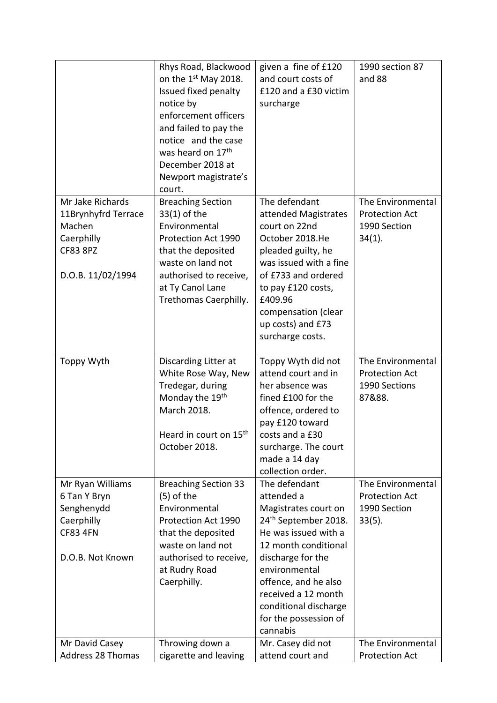|                                                                                                         | Rhys Road, Blackwood<br>on the 1 <sup>st</sup> May 2018.<br>Issued fixed penalty<br>notice by<br>enforcement officers<br>and failed to pay the<br>notice and the case<br>was heard on 17 <sup>th</sup><br>December 2018 at<br>Newport magistrate's<br>court. | given a fine of £120<br>and court costs of<br>£120 and a £30 victim<br>surcharge                                                                                                                                                                  | 1990 section 87<br>and 88                                               |
|---------------------------------------------------------------------------------------------------------|--------------------------------------------------------------------------------------------------------------------------------------------------------------------------------------------------------------------------------------------------------------|---------------------------------------------------------------------------------------------------------------------------------------------------------------------------------------------------------------------------------------------------|-------------------------------------------------------------------------|
| Mr Jake Richards<br>11Brynhyfrd Terrace<br>Machen<br>Caerphilly<br><b>CF83 8PZ</b><br>D.O.B. 11/02/1994 | <b>Breaching Section</b><br>$33(1)$ of the<br>Environmental<br>Protection Act 1990<br>that the deposited<br>waste on land not<br>authorised to receive,<br>at Ty Canol Lane<br>Trethomas Caerphilly.                                                         | The defendant<br>attended Magistrates<br>court on 22nd<br>October 2018.He<br>pleaded guilty, he<br>was issued with a fine<br>of £733 and ordered<br>to pay £120 costs,<br>£409.96<br>compensation (clear<br>up costs) and £73<br>surcharge costs. | The Environmental<br><b>Protection Act</b><br>1990 Section<br>$34(1)$ . |
| Toppy Wyth                                                                                              | Discarding Litter at<br>White Rose Way, New<br>Tredegar, during<br>Monday the 19 <sup>th</sup><br>March 2018.<br>Heard in court on 15 <sup>th</sup><br>October 2018.                                                                                         | Toppy Wyth did not<br>attend court and in<br>her absence was<br>fined £100 for the<br>offence, ordered to<br>pay £120 toward<br>costs and a £30<br>surcharge. The court<br>made a 14 day<br>collection order.                                     | The Environmental<br><b>Protection Act</b><br>1990 Sections<br>87&88.   |
| Mr Ryan Williams                                                                                        | <b>Breaching Section 33</b>                                                                                                                                                                                                                                  | The defendant                                                                                                                                                                                                                                     | The Environmental                                                       |
| 6 Tan Y Bryn<br>Senghenydd<br>Caerphilly<br><b>CF83 4FN</b>                                             | $(5)$ of the<br>Environmental<br>Protection Act 1990<br>that the deposited<br>waste on land not                                                                                                                                                              | attended a<br>Magistrates court on<br>24 <sup>th</sup> September 2018.<br>He was issued with a<br>12 month conditional                                                                                                                            | <b>Protection Act</b><br>1990 Section<br>$33(5)$ .                      |
| D.O.B. Not Known                                                                                        | authorised to receive,<br>at Rudry Road<br>Caerphilly.                                                                                                                                                                                                       | discharge for the<br>environmental<br>offence, and he also<br>received a 12 month<br>conditional discharge<br>for the possession of<br>cannabis                                                                                                   |                                                                         |
| Mr David Casey<br>Address 28 Thomas                                                                     | Throwing down a<br>cigarette and leaving                                                                                                                                                                                                                     | Mr. Casey did not<br>attend court and                                                                                                                                                                                                             | The Environmental<br><b>Protection Act</b>                              |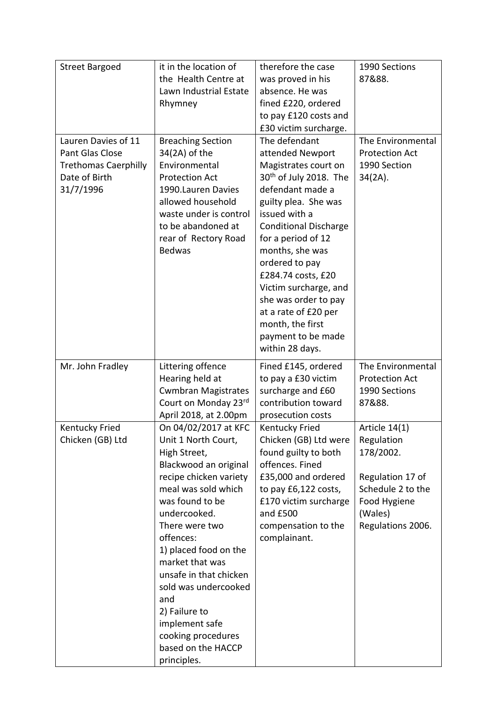| <b>Street Bargoed</b>                                                                               | it in the location of<br>the Health Centre at<br>Lawn Industrial Estate<br>Rhymney                                                                                                                                                                                                                                                                                                                         | therefore the case<br>was proved in his<br>absence. He was<br>fined £220, ordered<br>to pay £120 costs and<br>£30 victim surcharge.                                                                                                                                                                                                                                                                       | 1990 Sections<br>87&88.                                                                                                             |
|-----------------------------------------------------------------------------------------------------|------------------------------------------------------------------------------------------------------------------------------------------------------------------------------------------------------------------------------------------------------------------------------------------------------------------------------------------------------------------------------------------------------------|-----------------------------------------------------------------------------------------------------------------------------------------------------------------------------------------------------------------------------------------------------------------------------------------------------------------------------------------------------------------------------------------------------------|-------------------------------------------------------------------------------------------------------------------------------------|
| Lauren Davies of 11<br>Pant Glas Close<br><b>Trethomas Caerphilly</b><br>Date of Birth<br>31/7/1996 | <b>Breaching Section</b><br>34(2A) of the<br>Environmental<br><b>Protection Act</b><br>1990. Lauren Davies<br>allowed household<br>waste under is control<br>to be abandoned at<br>rear of Rectory Road<br><b>Bedwas</b>                                                                                                                                                                                   | The defendant<br>attended Newport<br>Magistrates court on<br>$30th$ of July 2018. The<br>defendant made a<br>guilty plea. She was<br>issued with a<br><b>Conditional Discharge</b><br>for a period of 12<br>months, she was<br>ordered to pay<br>£284.74 costs, £20<br>Victim surcharge, and<br>she was order to pay<br>at a rate of £20 per<br>month, the first<br>payment to be made<br>within 28 days. | The Environmental<br><b>Protection Act</b><br>1990 Section<br>$34(2A)$ .                                                            |
| Mr. John Fradley                                                                                    | Littering offence<br>Hearing held at<br><b>Cwmbran Magistrates</b><br>Court on Monday 23rd<br>April 2018, at 2.00pm                                                                                                                                                                                                                                                                                        | Fined £145, ordered<br>to pay a £30 victim<br>surcharge and £60<br>contribution toward<br>prosecution costs                                                                                                                                                                                                                                                                                               | The Environmental<br><b>Protection Act</b><br>1990 Sections<br>87&88.                                                               |
| <b>Kentucky Fried</b><br>Chicken (GB) Ltd                                                           | On 04/02/2017 at KFC<br>Unit 1 North Court,<br>High Street,<br>Blackwood an original<br>recipe chicken variety<br>meal was sold which<br>was found to be<br>undercooked.<br>There were two<br>offences:<br>1) placed food on the<br>market that was<br>unsafe in that chicken<br>sold was undercooked<br>and<br>2) Failure to<br>implement safe<br>cooking procedures<br>based on the HACCP<br>principles. | <b>Kentucky Fried</b><br>Chicken (GB) Ltd were<br>found guilty to both<br>offences. Fined<br>£35,000 and ordered<br>to pay £6,122 costs,<br>£170 victim surcharge<br>and £500<br>compensation to the<br>complainant.                                                                                                                                                                                      | Article $14(1)$<br>Regulation<br>178/2002.<br>Regulation 17 of<br>Schedule 2 to the<br>Food Hygiene<br>(Wales)<br>Regulations 2006. |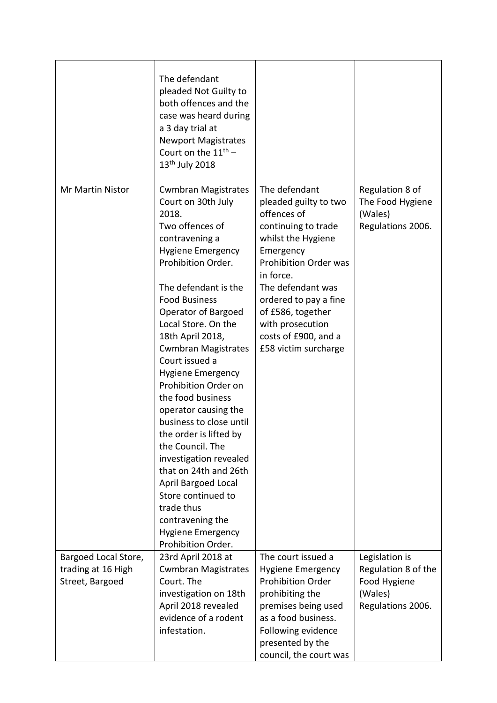|                                       | The defendant<br>pleaded Not Guilty to<br>both offences and the<br>case was heard during<br>a 3 day trial at<br><b>Newport Magistrates</b><br>Court on the $11^{th}$ –<br>13 <sup>th</sup> July 2018                                                                                                                                                                                                                                                                                                                                                                                                                                                                                    |                                                                                                                                                                                                                                                                                                     |                                                                     |
|---------------------------------------|-----------------------------------------------------------------------------------------------------------------------------------------------------------------------------------------------------------------------------------------------------------------------------------------------------------------------------------------------------------------------------------------------------------------------------------------------------------------------------------------------------------------------------------------------------------------------------------------------------------------------------------------------------------------------------------------|-----------------------------------------------------------------------------------------------------------------------------------------------------------------------------------------------------------------------------------------------------------------------------------------------------|---------------------------------------------------------------------|
| <b>Mr Martin Nistor</b>               | <b>Cwmbran Magistrates</b><br>Court on 30th July<br>2018.<br>Two offences of<br>contravening a<br><b>Hygiene Emergency</b><br>Prohibition Order.<br>The defendant is the<br><b>Food Business</b><br>Operator of Bargoed<br>Local Store. On the<br>18th April 2018,<br><b>Cwmbran Magistrates</b><br>Court issued a<br><b>Hygiene Emergency</b><br>Prohibition Order on<br>the food business<br>operator causing the<br>business to close until<br>the order is lifted by<br>the Council. The<br>investigation revealed<br>that on 24th and 26th<br><b>April Bargoed Local</b><br>Store continued to<br>trade thus<br>contravening the<br><b>Hygiene Emergency</b><br>Prohibition Order. | The defendant<br>pleaded guilty to two<br>offences of<br>continuing to trade<br>whilst the Hygiene<br>Emergency<br><b>Prohibition Order was</b><br>in force.<br>The defendant was<br>ordered to pay a fine<br>of £586, together<br>with prosecution<br>costs of £900, and a<br>£58 victim surcharge | Regulation 8 of<br>The Food Hygiene<br>(Wales)<br>Regulations 2006. |
| Bargoed Local Store,                  | 23rd April 2018 at                                                                                                                                                                                                                                                                                                                                                                                                                                                                                                                                                                                                                                                                      | The court issued a                                                                                                                                                                                                                                                                                  | Legislation is                                                      |
| trading at 16 High<br>Street, Bargoed | <b>Cwmbran Magistrates</b><br>Court. The<br>investigation on 18th<br>April 2018 revealed<br>evidence of a rodent<br>infestation.                                                                                                                                                                                                                                                                                                                                                                                                                                                                                                                                                        | <b>Hygiene Emergency</b><br><b>Prohibition Order</b><br>prohibiting the<br>premises being used<br>as a food business.<br>Following evidence<br>presented by the<br>council, the court was                                                                                                           | Regulation 8 of the<br>Food Hygiene<br>(Wales)<br>Regulations 2006. |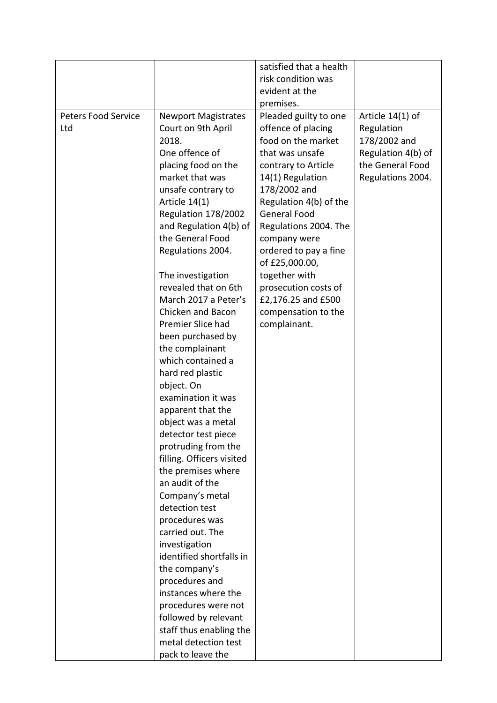|                                   |                                                                                                                                                                                                                                                                                                                                                                                                                                                                                                                                                                                                                                                                                                                                                                                                                                             | satisfied that a health                                                                                                                                                                                                                                                                                                                                                                    |                                                                                                               |
|-----------------------------------|---------------------------------------------------------------------------------------------------------------------------------------------------------------------------------------------------------------------------------------------------------------------------------------------------------------------------------------------------------------------------------------------------------------------------------------------------------------------------------------------------------------------------------------------------------------------------------------------------------------------------------------------------------------------------------------------------------------------------------------------------------------------------------------------------------------------------------------------|--------------------------------------------------------------------------------------------------------------------------------------------------------------------------------------------------------------------------------------------------------------------------------------------------------------------------------------------------------------------------------------------|---------------------------------------------------------------------------------------------------------------|
|                                   |                                                                                                                                                                                                                                                                                                                                                                                                                                                                                                                                                                                                                                                                                                                                                                                                                                             | risk condition was                                                                                                                                                                                                                                                                                                                                                                         |                                                                                                               |
|                                   |                                                                                                                                                                                                                                                                                                                                                                                                                                                                                                                                                                                                                                                                                                                                                                                                                                             | evident at the                                                                                                                                                                                                                                                                                                                                                                             |                                                                                                               |
|                                   |                                                                                                                                                                                                                                                                                                                                                                                                                                                                                                                                                                                                                                                                                                                                                                                                                                             | premises.                                                                                                                                                                                                                                                                                                                                                                                  |                                                                                                               |
| <b>Peters Food Service</b><br>Ltd | <b>Newport Magistrates</b><br>Court on 9th April<br>2018.<br>One offence of<br>placing food on the<br>market that was<br>unsafe contrary to<br>Article 14(1)<br>Regulation 178/2002<br>and Regulation 4(b) of<br>the General Food<br>Regulations 2004.<br>The investigation<br>revealed that on 6th<br>March 2017 a Peter's<br>Chicken and Bacon<br>Premier Slice had<br>been purchased by<br>the complainant<br>which contained a<br>hard red plastic<br>object. On<br>examination it was<br>apparent that the<br>object was a metal<br>detector test piece<br>protruding from the<br>filling. Officers visited<br>the premises where<br>an audit of the<br>Company's metal<br>detection test<br>procedures was<br>carried out. The<br>investigation<br>identified shortfalls in<br>the company's<br>procedures and<br>instances where the | Pleaded guilty to one<br>offence of placing<br>food on the market<br>that was unsafe<br>contrary to Article<br>14(1) Regulation<br>178/2002 and<br>Regulation 4(b) of the<br><b>General Food</b><br>Regulations 2004. The<br>company were<br>ordered to pay a fine<br>of £25,000.00,<br>together with<br>prosecution costs of<br>£2,176.25 and £500<br>compensation to the<br>complainant. | Article 14(1) of<br>Regulation<br>178/2002 and<br>Regulation 4(b) of<br>the General Food<br>Regulations 2004. |
|                                   |                                                                                                                                                                                                                                                                                                                                                                                                                                                                                                                                                                                                                                                                                                                                                                                                                                             |                                                                                                                                                                                                                                                                                                                                                                                            |                                                                                                               |
|                                   | procedures were not                                                                                                                                                                                                                                                                                                                                                                                                                                                                                                                                                                                                                                                                                                                                                                                                                         |                                                                                                                                                                                                                                                                                                                                                                                            |                                                                                                               |
|                                   | followed by relevant                                                                                                                                                                                                                                                                                                                                                                                                                                                                                                                                                                                                                                                                                                                                                                                                                        |                                                                                                                                                                                                                                                                                                                                                                                            |                                                                                                               |
|                                   | staff thus enabling the                                                                                                                                                                                                                                                                                                                                                                                                                                                                                                                                                                                                                                                                                                                                                                                                                     |                                                                                                                                                                                                                                                                                                                                                                                            |                                                                                                               |
|                                   | metal detection test                                                                                                                                                                                                                                                                                                                                                                                                                                                                                                                                                                                                                                                                                                                                                                                                                        |                                                                                                                                                                                                                                                                                                                                                                                            |                                                                                                               |
|                                   | pack to leave the                                                                                                                                                                                                                                                                                                                                                                                                                                                                                                                                                                                                                                                                                                                                                                                                                           |                                                                                                                                                                                                                                                                                                                                                                                            |                                                                                                               |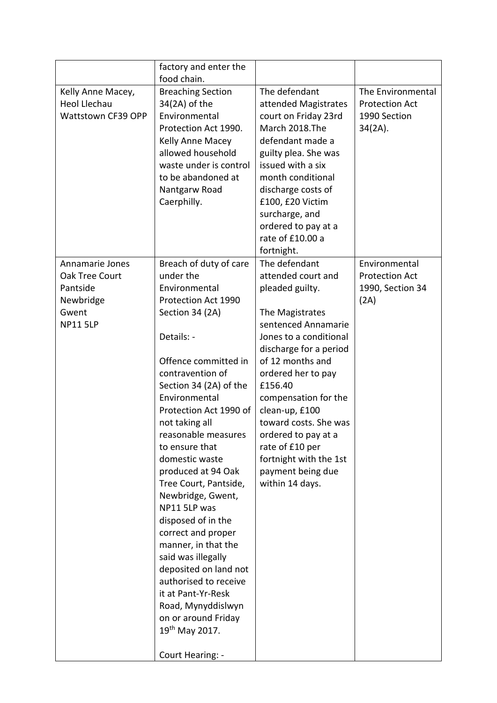|                     | factory and enter the                          |                        |                       |
|---------------------|------------------------------------------------|------------------------|-----------------------|
|                     | food chain.                                    |                        |                       |
| Kelly Anne Macey,   | <b>Breaching Section</b>                       | The defendant          | The Environmental     |
| <b>Heol Llechau</b> | 34(2A) of the                                  | attended Magistrates   | <b>Protection Act</b> |
| Wattstown CF39 OPP  | Environmental                                  | court on Friday 23rd   | 1990 Section          |
|                     | Protection Act 1990.                           | March 2018.The         | $34(2A)$ .            |
|                     | Kelly Anne Macey                               | defendant made a       |                       |
|                     | allowed household                              | guilty plea. She was   |                       |
|                     | waste under is control                         | issued with a six      |                       |
|                     | to be abandoned at                             | month conditional      |                       |
|                     | Nantgarw Road                                  | discharge costs of     |                       |
|                     | Caerphilly.                                    | £100, £20 Victim       |                       |
|                     |                                                | surcharge, and         |                       |
|                     |                                                | ordered to pay at a    |                       |
|                     |                                                | rate of £10.00 a       |                       |
|                     |                                                | fortnight.             |                       |
| Annamarie Jones     | Breach of duty of care                         | The defendant          | Environmental         |
| Oak Tree Court      | under the                                      | attended court and     | <b>Protection Act</b> |
| Pantside            | Environmental                                  | pleaded guilty.        | 1990, Section 34      |
| Newbridge           | Protection Act 1990                            |                        | (2A)                  |
| Gwent               | Section 34 (2A)                                | The Magistrates        |                       |
| <b>NP11 5LP</b>     |                                                | sentenced Annamarie    |                       |
|                     | Details: -                                     | Jones to a conditional |                       |
|                     |                                                | discharge for a period |                       |
|                     | Offence committed in                           | of 12 months and       |                       |
|                     | contravention of                               | ordered her to pay     |                       |
|                     | Section 34 (2A) of the                         | £156.40                |                       |
|                     | Environmental                                  | compensation for the   |                       |
|                     | Protection Act 1990 of                         | clean-up, £100         |                       |
|                     | not taking all                                 | toward costs. She was  |                       |
|                     | reasonable measures                            | ordered to pay at a    |                       |
|                     | to ensure that                                 | rate of £10 per        |                       |
|                     | domestic waste                                 | fortnight with the 1st |                       |
|                     | produced at 94 Oak                             | payment being due      |                       |
|                     | Tree Court, Pantside,                          | within 14 days.        |                       |
|                     | Newbridge, Gwent,                              |                        |                       |
|                     | NP11 5LP was                                   |                        |                       |
|                     | disposed of in the                             |                        |                       |
|                     | correct and proper                             |                        |                       |
|                     |                                                |                        |                       |
|                     | manner, in that the                            |                        |                       |
|                     | said was illegally                             |                        |                       |
|                     | deposited on land not<br>authorised to receive |                        |                       |
|                     | it at Pant-Yr-Resk                             |                        |                       |
|                     |                                                |                        |                       |
|                     | Road, Mynyddislwyn                             |                        |                       |
|                     | on or around Friday                            |                        |                       |
|                     | 19th May 2017.                                 |                        |                       |
|                     | Court Hearing: -                               |                        |                       |
|                     |                                                |                        |                       |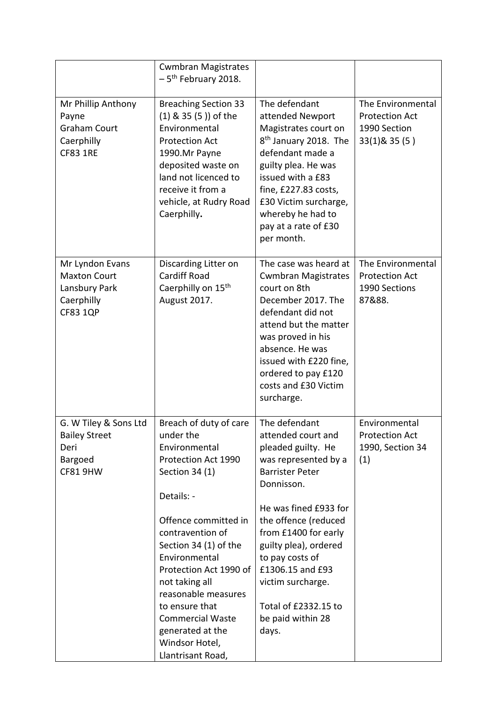|                                                                                          | <b>Cwmbran Magistrates</b><br>$-5$ <sup>th</sup> February 2018.                                                                                                                                                                                                                                                                                                              |                                                                                                                                                                                                                                                                                                                                               |                                                                            |
|------------------------------------------------------------------------------------------|------------------------------------------------------------------------------------------------------------------------------------------------------------------------------------------------------------------------------------------------------------------------------------------------------------------------------------------------------------------------------|-----------------------------------------------------------------------------------------------------------------------------------------------------------------------------------------------------------------------------------------------------------------------------------------------------------------------------------------------|----------------------------------------------------------------------------|
| Mr Phillip Anthony<br>Payne<br><b>Graham Court</b><br>Caerphilly<br><b>CF83 1RE</b>      | <b>Breaching Section 33</b><br>(1) & 35 (5)) of the<br>Environmental<br><b>Protection Act</b><br>1990.Mr Payne<br>deposited waste on<br>land not licenced to<br>receive it from a<br>vehicle, at Rudry Road<br>Caerphilly.                                                                                                                                                   | The defendant<br>attended Newport<br>Magistrates court on<br>8 <sup>th</sup> January 2018. The<br>defendant made a<br>guilty plea. He was<br>issued with a £83<br>fine, £227.83 costs,<br>£30 Victim surcharge,<br>whereby he had to<br>pay at a rate of £30<br>per month.                                                                    | The Environmental<br><b>Protection Act</b><br>1990 Section<br>33(1)& 35(5) |
| Mr Lyndon Evans<br><b>Maxton Court</b><br>Lansbury Park<br>Caerphilly<br><b>CF83 1QP</b> | Discarding Litter on<br><b>Cardiff Road</b><br>Caerphilly on 15 <sup>th</sup><br>August 2017.                                                                                                                                                                                                                                                                                | The case was heard at<br><b>Cwmbran Magistrates</b><br>court on 8th<br>December 2017. The<br>defendant did not<br>attend but the matter<br>was proved in his<br>absence. He was<br>issued with £220 fine,<br>ordered to pay £120<br>costs and £30 Victim<br>surcharge.                                                                        | The Environmental<br><b>Protection Act</b><br>1990 Sections<br>87&88.      |
| G. W Tiley & Sons Ltd<br><b>Bailey Street</b><br>Deri<br>Bargoed<br>CF81 9HW             | Breach of duty of care<br>under the<br>Environmental<br>Protection Act 1990<br>Section 34 (1)<br>Details: -<br>Offence committed in<br>contravention of<br>Section 34 (1) of the<br>Environmental<br>Protection Act 1990 of<br>not taking all<br>reasonable measures<br>to ensure that<br><b>Commercial Waste</b><br>generated at the<br>Windsor Hotel,<br>Llantrisant Road, | The defendant<br>attended court and<br>pleaded guilty. He<br>was represented by a<br><b>Barrister Peter</b><br>Donnisson.<br>He was fined £933 for<br>the offence (reduced<br>from £1400 for early<br>guilty plea), ordered<br>to pay costs of<br>£1306.15 and £93<br>victim surcharge.<br>Total of £2332.15 to<br>be paid within 28<br>days. | Environmental<br><b>Protection Act</b><br>1990, Section 34<br>(1)          |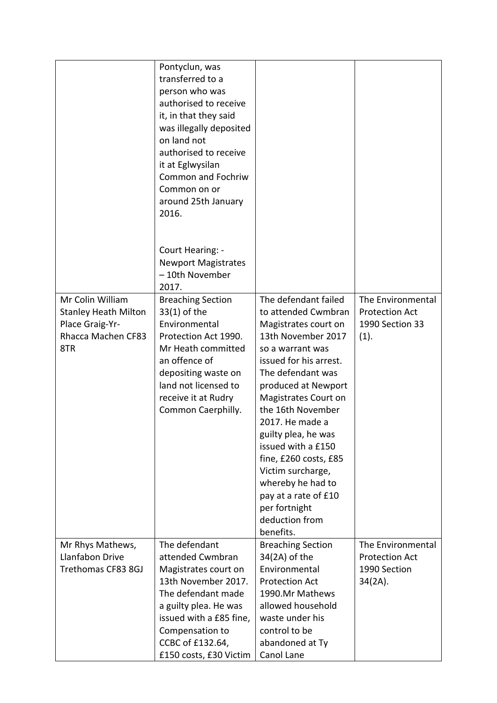|                                                                                                 | Pontyclun, was<br>transferred to a<br>person who was<br>authorised to receive<br>it, in that they said<br>was illegally deposited<br>on land not<br>authorised to receive<br>it at Eglwysilan<br>Common and Fochriw<br>Common on or<br>around 25th January<br>2016.<br>Court Hearing: -<br><b>Newport Magistrates</b><br>-10th November<br>2017. |                                                                                                                                                                                                                                                                                                                                                                                                                                             |                                                                          |
|-------------------------------------------------------------------------------------------------|--------------------------------------------------------------------------------------------------------------------------------------------------------------------------------------------------------------------------------------------------------------------------------------------------------------------------------------------------|---------------------------------------------------------------------------------------------------------------------------------------------------------------------------------------------------------------------------------------------------------------------------------------------------------------------------------------------------------------------------------------------------------------------------------------------|--------------------------------------------------------------------------|
| Mr Colin William<br><b>Stanley Heath Milton</b><br>Place Graig-Yr-<br>Rhacca Machen CF83<br>8TR | <b>Breaching Section</b><br>$33(1)$ of the<br>Environmental<br>Protection Act 1990.<br>Mr Heath committed<br>an offence of<br>depositing waste on<br>land not licensed to<br>receive it at Rudry<br>Common Caerphilly.                                                                                                                           | The defendant failed<br>to attended Cwmbran<br>Magistrates court on<br>13th November 2017<br>so a warrant was<br>issued for his arrest.<br>The defendant was<br>produced at Newport<br>Magistrates Court on<br>the 16th November<br>2017. He made a<br>guilty plea, he was<br>issued with a £150<br>fine, £260 costs, £85<br>Victim surcharge,<br>whereby he had to<br>pay at a rate of £10<br>per fortnight<br>deduction from<br>benefits. | The Environmental<br><b>Protection Act</b><br>1990 Section 33<br>(1).    |
| Mr Rhys Mathews,<br>Llanfabon Drive<br>Trethomas CF83 8GJ                                       | The defendant<br>attended Cwmbran<br>Magistrates court on<br>13th November 2017.<br>The defendant made<br>a guilty plea. He was<br>issued with a £85 fine,<br>Compensation to<br>CCBC of £132.64,<br>£150 costs, £30 Victim                                                                                                                      | <b>Breaching Section</b><br>34(2A) of the<br>Environmental<br><b>Protection Act</b><br>1990.Mr Mathews<br>allowed household<br>waste under his<br>control to be<br>abandoned at Ty<br>Canol Lane                                                                                                                                                                                                                                            | The Environmental<br><b>Protection Act</b><br>1990 Section<br>$34(2A)$ . |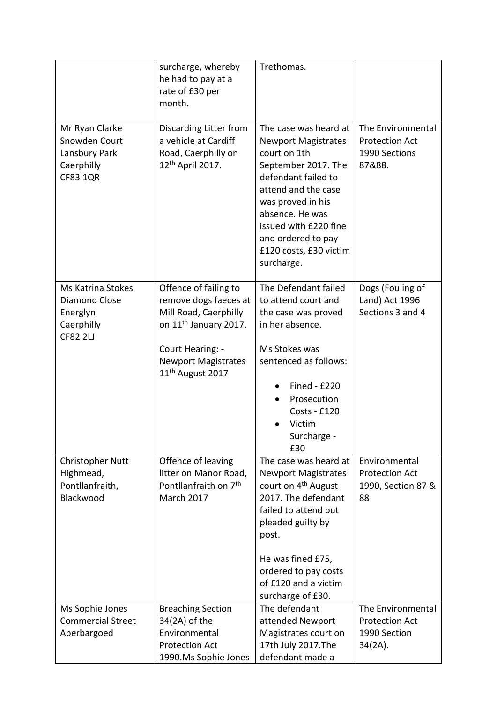|                                                                                        | surcharge, whereby<br>he had to pay at a<br>rate of £30 per<br>month.                                                                                                                          | Trethomas.                                                                                                                                                                                                                                                              |                                                                          |
|----------------------------------------------------------------------------------------|------------------------------------------------------------------------------------------------------------------------------------------------------------------------------------------------|-------------------------------------------------------------------------------------------------------------------------------------------------------------------------------------------------------------------------------------------------------------------------|--------------------------------------------------------------------------|
| Mr Ryan Clarke<br>Snowden Court<br>Lansbury Park<br>Caerphilly<br><b>CF83 1QR</b>      | Discarding Litter from<br>a vehicle at Cardiff<br>Road, Caerphilly on<br>12 <sup>th</sup> April 2017.                                                                                          | The case was heard at<br><b>Newport Magistrates</b><br>court on 1th<br>September 2017. The<br>defendant failed to<br>attend and the case<br>was proved in his<br>absence. He was<br>issued with £220 fine<br>and ordered to pay<br>£120 costs, £30 victim<br>surcharge. | The Environmental<br><b>Protection Act</b><br>1990 Sections<br>87&88.    |
| Ms Katrina Stokes<br><b>Diamond Close</b><br>Energlyn<br>Caerphilly<br><b>CF82 2LJ</b> | Offence of failing to<br>remove dogs faeces at<br>Mill Road, Caerphilly<br>on 11 <sup>th</sup> January 2017.<br>Court Hearing: -<br><b>Newport Magistrates</b><br>11 <sup>th</sup> August 2017 | The Defendant failed<br>to attend court and<br>the case was proved<br>in her absence.<br>Ms Stokes was<br>sentenced as follows:<br>Fined - £220<br>Prosecution<br>Costs - £120<br>Victim<br>Surcharge -<br>£30                                                          | Dogs (Fouling of<br>Land) Act 1996<br>Sections 3 and 4                   |
| <b>Christopher Nutt</b><br>Highmead,<br>Pontllanfraith,<br>Blackwood                   | Offence of leaving<br>litter on Manor Road,<br>Pontllanfraith on 7 <sup>th</sup><br><b>March 2017</b>                                                                                          | The case was heard at<br><b>Newport Magistrates</b><br>court on 4 <sup>th</sup> August<br>2017. The defendant<br>failed to attend but<br>pleaded guilty by<br>post.<br>He was fined £75,<br>ordered to pay costs<br>of £120 and a victim<br>surcharge of £30.           | Environmental<br><b>Protection Act</b><br>1990, Section 87 &<br>88       |
| Ms Sophie Jones<br><b>Commercial Street</b><br>Aberbargoed                             | <b>Breaching Section</b><br>34(2A) of the<br>Environmental<br><b>Protection Act</b><br>1990.Ms Sophie Jones                                                                                    | The defendant<br>attended Newport<br>Magistrates court on<br>17th July 2017.The<br>defendant made a                                                                                                                                                                     | The Environmental<br><b>Protection Act</b><br>1990 Section<br>$34(2A)$ . |